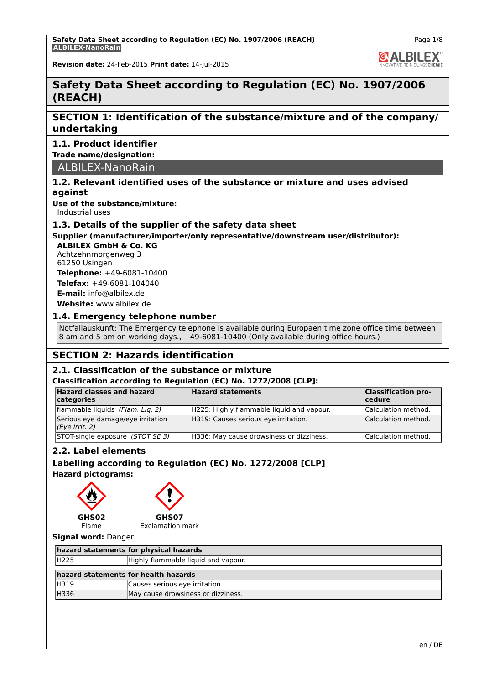**GALBILEX** 

**Revision date:** 24-Feb-2015 **Print date:** 14-Jul-2015

## **Safety Data Sheet according to Regulation (EC) No. 1907/2006 (REACH)**

## **SECTION 1: Identification of the substance/mixture and of the company/ undertaking**

### **1.1. Product identifier**

**Trade name/designation:**

ALBILEX-NanoRain

### **1.2. Relevant identified uses of the substance or mixture and uses advised against**

**Use of the substance/mixture:**

Industrial uses

### **1.3. Details of the supplier of the safety data sheet**

## **Supplier (manufacturer/importer/only representative/downstream user/distributor):**

**ALBILEX GmbH & Co. KG** Achtzehnmorgenweg 3 61250 Usingen

**Telephone:** +49-6081-10400 **Telefax:** +49-6081-104040 **E-mail:** info@albilex.de

**Website:** www.albilex.de

### **1.4. Emergency telephone number**

Notfallauskunft: The Emergency telephone is available during Europaen time zone office time between 8 am and 5 pm on working days., +49-6081-10400 (Only available during office hours.)

## **SECTION 2: Hazards identification**

### **2.1. Classification of the substance or mixture**

#### **Classification according to Regulation (EC) No. 1272/2008 [CLP]:**

| <b>Hazard classes and hazard</b><br>categories      | <b>Hazard statements</b>                  | <b>Classification pro-</b><br>cedure |
|-----------------------------------------------------|-------------------------------------------|--------------------------------------|
| flammable liquids (Flam. Liq. 2)                    | H225: Highly flammable liquid and vapour. | Calculation method.                  |
| Serious eye damage/eye irritation<br>(Eye Irrit. 2) | H319: Causes serious eye irritation.      | Calculation method.                  |
| STOT-single exposure (STOT SE 3)                    | H336: May cause drowsiness or dizziness.  | Calculation method.                  |

### **2.2. Label elements**

## **Labelling according to Regulation (EC) No. 1272/2008 [CLP]**

**Hazard pictograms:**



### **Signal word:** Danger

| hazard statements for physical hazards |                                     |  |
|----------------------------------------|-------------------------------------|--|
| H225                                   | Highly flammable liquid and vapour. |  |
| hazard statements for health hazards   |                                     |  |
| <b>H319</b>                            | Causes serious eye irritation.      |  |
| H336                                   | May cause drowsiness or dizziness.  |  |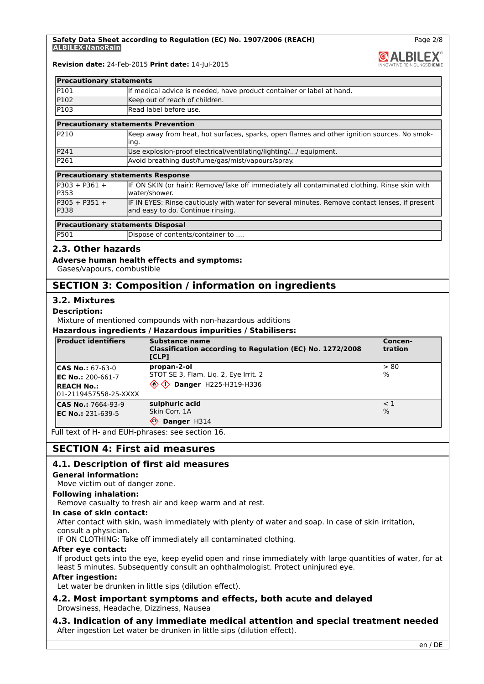**GALBILEX** 

Page 2/8

#### **Revision date:** 24-Feb-2015 **Print date:** 14-Jul-2015

| <b>Precautionary statements</b> |                                                                       |  |
|---------------------------------|-----------------------------------------------------------------------|--|
| P101                            | If medical advice is needed, have product container or label at hand. |  |
| P102                            | Keep out of reach of children.                                        |  |
| P103                            | Read label before use.                                                |  |
|                                 |                                                                       |  |

#### **Precautionary statements Prevention**

| <b>IP210</b> | Keep away from heat, hot surfaces, sparks, open flames and other ignition sources. No smok- |
|--------------|---------------------------------------------------------------------------------------------|
|              | ling.                                                                                       |
| P241         | Use explosion-proof electrical/ventilating/lighting// equipment.                            |
| P261         | Avoid breathing dust/fume/gas/mist/vapours/spray.                                           |

## **Precautionary statements Response**

| $P303 + P361 +$                | IF ON SKIN (or hair): Remove/Take off immediately all contaminated clothing. Rinse skin with                                        |
|--------------------------------|-------------------------------------------------------------------------------------------------------------------------------------|
| <b>IP353</b>                   | water/shower.                                                                                                                       |
| $P305 + P351 +$<br><b>P338</b> | IF IN EYES: Rinse cautiously with water for several minutes. Remove contact lenses, if present<br>and easy to do. Continue rinsing. |

### **Precautionary statements Disposal**

| <b>IP501</b> | Dispose of contents/container to |  |
|--------------|----------------------------------|--|

### **2.3. Other hazards**

#### **Adverse human health effects and symptoms:**

Gases/vapours, combustible

## **SECTION 3: Composition / information on ingredients**

### **3.2. Mixtures**

#### **Description:**

Mixture of mentioned compounds with non-hazardous additions

#### **Hazardous ingredients / Hazardous impurities / Stabilisers:**

| <b>Product identifiers</b>                                                                          | Substance name<br>Classification according to Regulation (EC) No. 1272/2008<br>[CLP]                    | Concen-<br>tration        |
|-----------------------------------------------------------------------------------------------------|---------------------------------------------------------------------------------------------------------|---------------------------|
| <b>CAS No.: 67-63-0</b><br><b>IEC No.:</b> 200-661-7<br><b>REACH No.:</b><br>l01-2119457558-25-XXXX | propan-2-ol<br>STOT SE 3, Flam. Lig. 2, Eye Irrit. 2<br>$\otimes \diamondsuit$<br>Danger H225-H319-H336 | l> 80<br>$\frac{9}{6}$    |
| <b>CAS No.: 7664-93-9</b><br><b>EC No.: 231-639-5</b>                                               | sulphuric acid<br>Skin Corr. 1A<br>◇<br>Danger H314                                                     | $\leq 1$<br>$\frac{9}{6}$ |

Full text of H- and EUH-phrases: see section 16.

## **SECTION 4: First aid measures**

### **4.1. Description of first aid measures**

### **General information:**

Move victim out of danger zone.

### **Following inhalation:**

Remove casualty to fresh air and keep warm and at rest.

#### **In case of skin contact:**

After contact with skin, wash immediately with plenty of water and soap. In case of skin irritation, consult a physician.

IF ON CLOTHING: Take off immediately all contaminated clothing.

#### **After eye contact:**

If product gets into the eye, keep eyelid open and rinse immediately with large quantities of water, for at least 5 minutes. Subsequently consult an ophthalmologist. Protect uninjured eye.

#### **After ingestion:**

Let water be drunken in little sips (dilution effect).

### **4.2. Most important symptoms and effects, both acute and delayed** Drowsiness, Headache, Dizziness, Nausea

### **4.3. Indication of any immediate medical attention and special treatment needed** After ingestion Let water be drunken in little sips (dilution effect).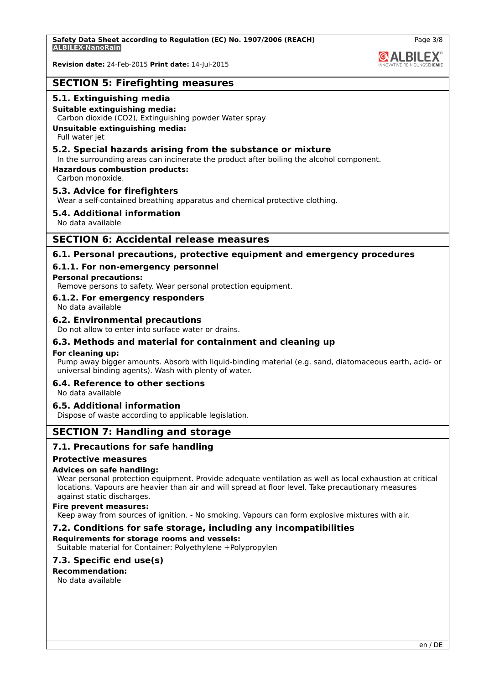**GALBILEX** 

Page 3/8

**Revision date:** 24-Feb-2015 **Print date:** 14-Jul-2015

## **SECTION 5: Firefighting measures**

### **5.1. Extinguishing media**

#### **Suitable extinguishing media:**

Carbon dioxide (CO2), Extinguishing powder Water spray

#### **Unsuitable extinguishing media:**

Full water jet

### **5.2. Special hazards arising from the substance or mixture**

In the surrounding areas can incinerate the product after boiling the alcohol component.

**Hazardous combustion products:**

Carbon monoxide.

### **5.3. Advice for firefighters**

Wear a self-contained breathing apparatus and chemical protective clothing.

#### **5.4. Additional information**

No data available

### **SECTION 6: Accidental release measures**

### **6.1. Personal precautions, protective equipment and emergency procedures**

### **6.1.1. For non-emergency personnel**

#### **Personal precautions:**

Remove persons to safety. Wear personal protection equipment.

### **6.1.2. For emergency responders**

No data available

#### **6.2. Environmental precautions**

Do not allow to enter into surface water or drains.

### **6.3. Methods and material for containment and cleaning up**

#### **For cleaning up:**

Pump away bigger amounts. Absorb with liquid-binding material (e.g. sand, diatomaceous earth, acid- or universal binding agents). Wash with plenty of water.

#### **6.4. Reference to other sections**

No data available

### **6.5. Additional information**

Dispose of waste according to applicable legislation.

## **SECTION 7: Handling and storage**

### **7.1. Precautions for safe handling**

#### **Protective measures**

#### **Advices on safe handling:**

Wear personal protection equipment. Provide adequate ventilation as well as local exhaustion at critical locations. Vapours are heavier than air and will spread at floor level. Take precautionary measures against static discharges.

#### **Fire prevent measures:**

Keep away from sources of ignition. - No smoking. Vapours can form explosive mixtures with air.

### **7.2. Conditions for safe storage, including any incompatibilities**

#### **Requirements for storage rooms and vessels:**

Suitable material for Container: Polyethylene +Polypropylen

### **7.3. Specific end use(s)**

#### **Recommendation:**

No data available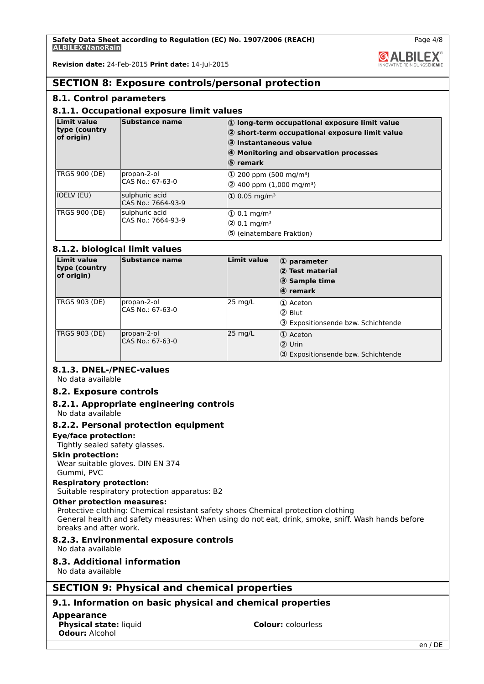**Revision date:** 24-Feb-2015 **Print date:** 14-Jul-2015

### **SECTION 8: Exposure controls/personal protection**

### **8.1. Control parameters**

### **8.1.1. Occupational exposure limit values**

| Limit value<br>type (country<br>of origin) | Substance name                       | $ 0\rangle$ long-term occupational exposure limit value<br>$ 2$ short-term occupational exposure limit value<br>3 Instantaneous value<br>4 Monitoring and observation processes<br>⑤ remark |
|--------------------------------------------|--------------------------------------|---------------------------------------------------------------------------------------------------------------------------------------------------------------------------------------------|
| <b>TRGS 900 (DE)</b>                       | propan-2-ol<br>CAS No.: 67-63-0      | $\Phi$ 200 ppm (500 mg/m <sup>3</sup> )<br>$(2)$ 400 ppm (1,000 mg/m <sup>3</sup> )                                                                                                         |
| <b>IOELV (EU)</b>                          | sulphuric acid<br>CAS No.: 7664-93-9 | $ 0.05 \text{ mg/m}^3 $                                                                                                                                                                     |
| <b>TRGS 900 (DE)</b>                       | sulphuric acid<br>CAS No.: 7664-93-9 | $(1)$ 0.1 mg/m <sup>3</sup><br>$(2)$ 0.1 mg/m <sup>3</sup><br>5 (einatembare Fraktion)                                                                                                      |

### **8.1.2. biological limit values**

| Limit value<br>type (country)<br>of origin) | Substance name                  | Limit value         | $\left  \Phi \right $ parameter<br>2 Test material<br>3 Sample time<br>$\langle 4 \rangle$ remark |
|---------------------------------------------|---------------------------------|---------------------|---------------------------------------------------------------------------------------------------|
| <b>TRGS 903 (DE)</b>                        | propan-2-ol<br>CAS No.: 67-63-0 | 25 mg/L             | 1 Aceton<br>ദ്ര Blut<br>3 Expositionsende bzw. Schichtende                                        |
| TRGS 903 (DE)                               | propan-2-ol<br>CAS No.: 67-63-0 | $ 25 \text{ mg/L} $ | $ 0\rangle$ Aceton<br>$  \mathsf{Q} \rangle$ Urin<br>3 Expositionsende bzw. Schichtende           |

### **8.1.3. DNEL-/PNEC-values**

No data available

### **8.2. Exposure controls**

## **8.2.1. Appropriate engineering controls**

No data available

### **8.2.2. Personal protection equipment**

#### **Eye/face protection:**

Tightly sealed safety glasses.

### **Skin protection:**

Wear suitable gloves. DIN EN 374 Gummi, PVC

#### **Respiratory protection:**

Suitable respiratory protection apparatus: B2

#### **Other protection measures:**

Protective clothing: Chemical resistant safety shoes Chemical protection clothing General health and safety measures: When using do not eat, drink, smoke, sniff. Wash hands before breaks and after work.

#### **8.2.3. Environmental exposure controls**

No data available

### **8.3. Additional information**

No data available

## **SECTION 9: Physical and chemical properties**

### **9.1. Information on basic physical and chemical properties**

#### **Appearance**

**Physical state:** liquid **Colour:** colourless **Odour:** Alcohol

**& ALBILEX**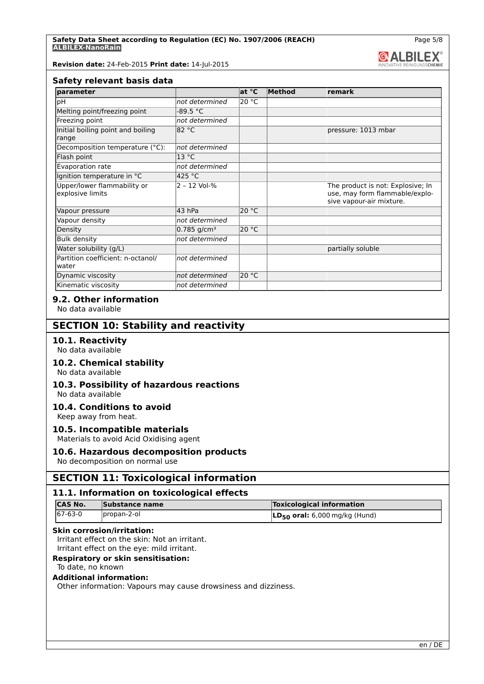**Revision date:** 24-Feb-2015 **Print date:** 14-Jul-2015

#### **Safety relevant basis data**

| parameter                                       |                           | at °C | Method | remark                                                                                          |
|-------------------------------------------------|---------------------------|-------|--------|-------------------------------------------------------------------------------------------------|
| þН                                              | not determined            | 20 °C |        |                                                                                                 |
| Melting point/freezing point                    | -89.5 °C                  |       |        |                                                                                                 |
| Freezing point                                  | not determined            |       |        |                                                                                                 |
| Initial boiling point and boiling<br>range      | 82 °C                     |       |        | pressure: 1013 mbar                                                                             |
| Decomposition temperature (°C):                 | not determined            |       |        |                                                                                                 |
| Flash point                                     | 13 °C                     |       |        |                                                                                                 |
| Evaporation rate                                | not determined            |       |        |                                                                                                 |
| Ignition temperature in °C                      | 425 °C                    |       |        |                                                                                                 |
| Upper/lower flammability or<br>explosive limits | 2 - 12 Vol-%              |       |        | The product is not: Explosive; In<br>use, may form flammable/explo-<br>sive vapour-air mixture. |
| Vapour pressure                                 | 43 hPa                    | 20 °C |        |                                                                                                 |
| Vapour density                                  | not determined            |       |        |                                                                                                 |
| Density                                         | $0.785$ g/cm <sup>3</sup> | 20 °C |        |                                                                                                 |
| <b>Bulk density</b>                             | not determined            |       |        |                                                                                                 |
| Water solubility (g/L)                          |                           |       |        | partially soluble                                                                               |
| Partition coefficient: n-octanol/<br>water      | not determined            |       |        |                                                                                                 |
| Dynamic viscosity                               | not determined            | 20 °C |        |                                                                                                 |
| Kinematic viscosity                             | not determined            |       |        |                                                                                                 |

### **9.2. Other information**

No data available

### **SECTION 10: Stability and reactivity**

**10.1. Reactivity** No data available

# **10.2. Chemical stability**

No data available

#### **10.3. Possibility of hazardous reactions** No data available

#### **10.4. Conditions to avoid**

Keep away from heat.

### **10.5. Incompatible materials**

Materials to avoid Acid Oxidising agent

## **10.6. Hazardous decomposition products**

No decomposition on normal use

## **SECTION 11: Toxicological information**

### **11.1. Information on toxicological effects**

| ICAS No.       | Substance name | <b>Toxicological information</b>              |
|----------------|----------------|-----------------------------------------------|
| $167 - 63 - 0$ | propan-2-ol    | $\overline{LD_{50}}$ oral: 6,000 mg/kg (Hund) |

#### **Skin corrosion/irritation:**

Irritant effect on the skin: Not an irritant.

Irritant effect on the eye: mild irritant.

### **Respiratory or skin sensitisation:**

### To date, no known

### **Additional information:**

Other information: Vapours may cause drowsiness and dizziness.

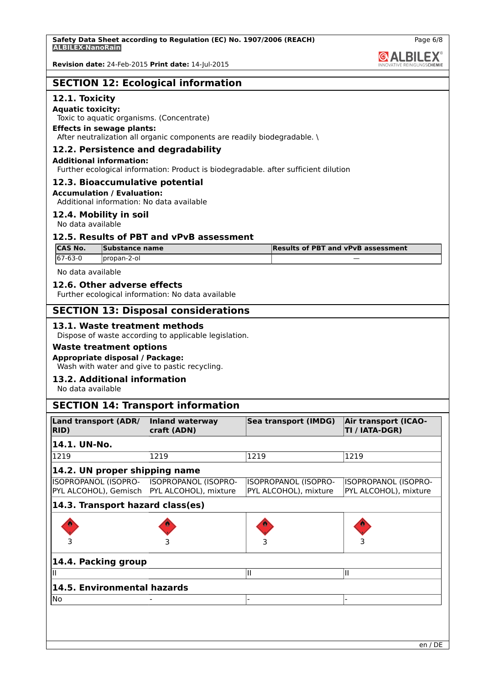**Revision date:** 24-Feb-2015 **Print date:** 14-Jul-2015

|  |  |  | <b>SECTION 12: Ecological information</b> |
|--|--|--|-------------------------------------------|
|--|--|--|-------------------------------------------|

### **12.1. Toxicity**

**Aquatic toxicity:**

Toxic to aquatic organisms. (Concentrate)

### **Effects in sewage plants:**

After neutralization all organic components are readily biodegradable. \

### **12.2. Persistence and degradability**

#### **Additional information:**

Further ecological information: Product is biodegradable. after sufficient dilution

#### **12.3. Bioaccumulative potential**

#### **Accumulation / Evaluation:**

Additional information: No data available

### **12.4. Mobility in soil**

No data available

### **12.5. Results of PBT and vPvB assessment**

| <b>CAS No.</b> | Substance name | Results of PBT and vPvB assessment |
|----------------|----------------|------------------------------------|
| 167-63-0       | `propan-2-ol   |                                    |

No data available

### **12.6. Other adverse effects**

Further ecological information: No data available

## **SECTION 13: Disposal considerations**

### **13.1. Waste treatment methods**

Dispose of waste according to applicable legislation.

### **Waste treatment options**

#### **Appropriate disposal / Package:**

Wash with water and give to pastic recycling.

## **13.2. Additional information**

No data available

### **SECTION 14: Transport information**

| <b>Land transport (ADR/</b><br>RID)                                   | Inland waterway<br>craft (ADN) | Sea transport (IMDG)                          | <b>Air transport (ICAO-</b><br>TI / IATA-DGR) |  |
|-----------------------------------------------------------------------|--------------------------------|-----------------------------------------------|-----------------------------------------------|--|
| 14.1. UN-No.                                                          |                                |                                               |                                               |  |
| 1219                                                                  | 1219                           | 1219                                          | 1219                                          |  |
| 14.2. UN proper shipping name                                         |                                |                                               |                                               |  |
| ISOPROPANOL (ISOPRO-<br>PYL ALCOHOL), Gemisch   PYL ALCOHOL), mixture | <b>ISOPROPANOL (ISOPRO-</b>    | ISOPROPANOL (ISOPRO-<br>PYL ALCOHOL), mixture | ISOPROPANOL (ISOPRO-<br>PYL ALCOHOL), mixture |  |
| 14.3. Transport hazard class(es)                                      |                                |                                               |                                               |  |
|                                                                       |                                |                                               |                                               |  |
|                                                                       |                                |                                               |                                               |  |
| 14.4. Packing group                                                   |                                |                                               |                                               |  |
|                                                                       |                                | Ш                                             | Ш                                             |  |
| 14.5. Environmental hazards                                           |                                |                                               |                                               |  |
| No                                                                    |                                |                                               |                                               |  |

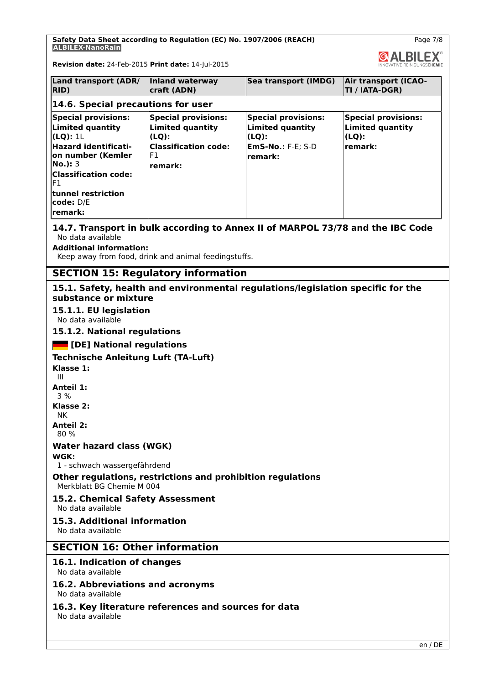**Safety Data Sheet according to Regulation (EC) No. 1907/2006 (REACH) ALBILEX-NanoRain**

Page 7/8

**GALBILEX®** 

**Revision date:** 24-Feb-2015 **Print date:** 14-Jul-2015

| <b>Land transport (ADR/</b><br>RID)                                                                                                                                                                                          | Inland waterway<br>craft (ADN)                                                                                 | Sea transport (IMDG)                                                                                  | <b>Air transport (ICAO-</b><br>TI / IATA-DGR)                             |  |  |  |  |
|------------------------------------------------------------------------------------------------------------------------------------------------------------------------------------------------------------------------------|----------------------------------------------------------------------------------------------------------------|-------------------------------------------------------------------------------------------------------|---------------------------------------------------------------------------|--|--|--|--|
| 14.6. Special precautions for user                                                                                                                                                                                           |                                                                                                                |                                                                                                       |                                                                           |  |  |  |  |
| <b>Special provisions:</b><br><b>Limited quantity</b><br>(LQ): 1L<br><b>Hazard identificati-</b><br>on number (Kemler<br><b>No.</b> ): 3<br><b>Classification code:</b><br>F1<br>ltunnel restriction<br>code: D/E<br>remark: | <b>Special provisions:</b><br><b>Limited quantity</b><br>(LQ):<br><b>Classification code:</b><br>F1<br>remark: | <b>Special provisions:</b><br><b>Limited quantity</b><br>(LQ):<br><b>EmS-No.: F-E; S-D</b><br>remark: | <b>Special provisions:</b><br><b>Limited quantity</b><br>(LQ):<br>remark: |  |  |  |  |
| 14.7. Transport in bulk according to Annex II of MARPOL 73/78 and the IBC Code<br>No data available<br><b>Additional information:</b><br>Keep away from food, drink and animal feedingstuffs.                                |                                                                                                                |                                                                                                       |                                                                           |  |  |  |  |
| <b>SECTION 15: Regulatory information</b>                                                                                                                                                                                    |                                                                                                                |                                                                                                       |                                                                           |  |  |  |  |
| 15.1. Safety, health and environmental regulations/legislation specific for the<br>substance or mixture<br>15.1.1. EU legislation                                                                                            |                                                                                                                |                                                                                                       |                                                                           |  |  |  |  |

No data available

**15.1.2. National regulations**

 **[DE] National regulations**

**Technische Anleitung Luft (TA-Luft)**

**Klasse 1:** III

**Anteil 1:**

3 %

**Klasse 2:** NK

**Anteil 2:**

80 %

### **Water hazard class (WGK)**

**WGK:**

1 - schwach wassergefährdend

### **Other regulations, restrictions and prohibition regulations** Merkblatt BG Chemie M 004

#### **15.2. Chemical Safety Assessment** No data available

**15.3. Additional information** No data available

**SECTION 16: Other information**

## **16.1. Indication of changes**

No data available

**16.2. Abbreviations and acronyms** No data available

**16.3. Key literature references and sources for data** No data available